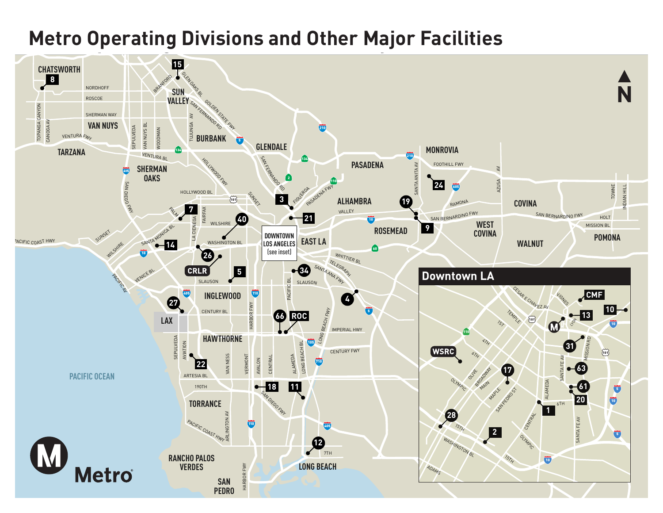# **Metro Operating Divisions and Other Major Facilities Metro Operating Divisions and Other Major Facilities**